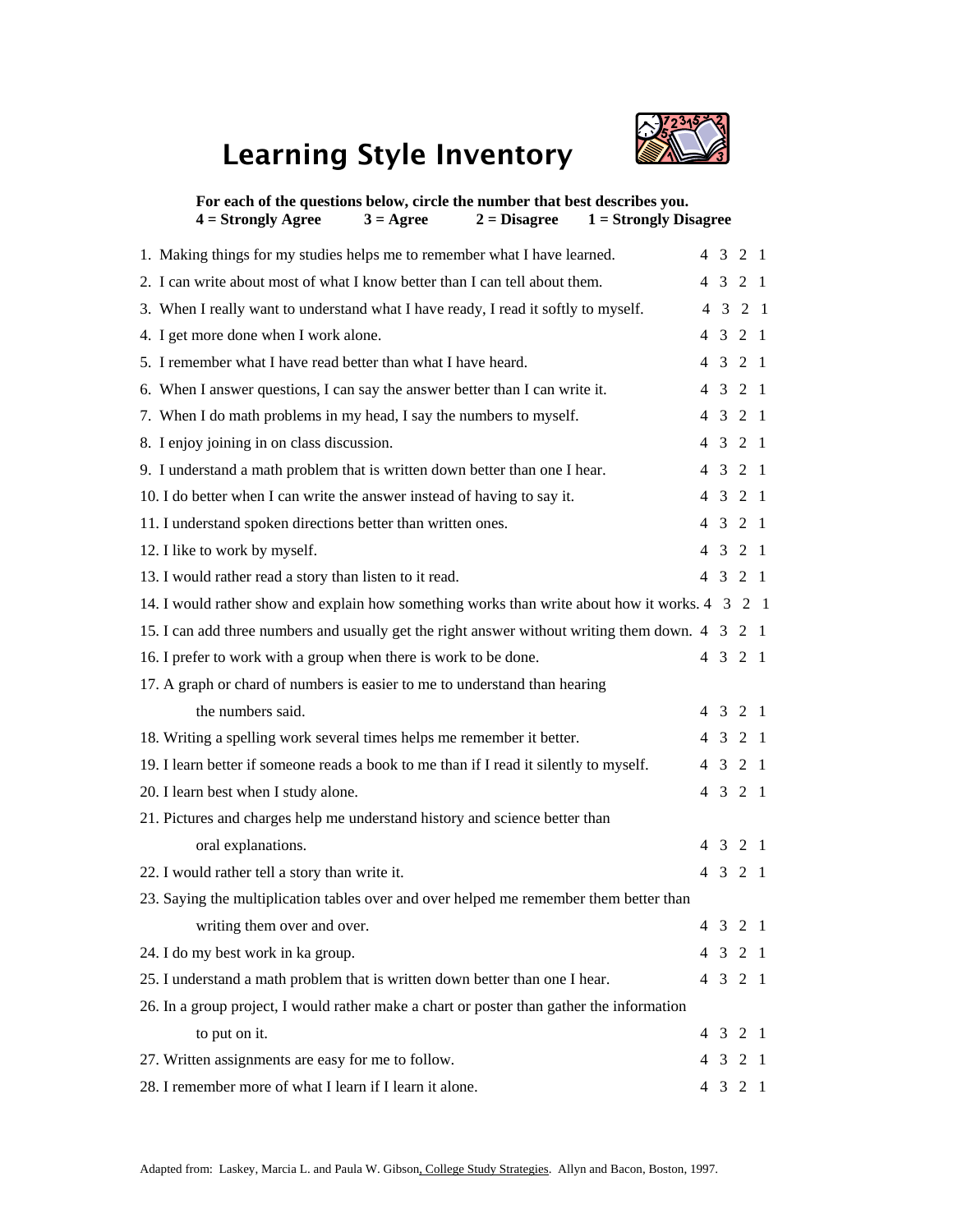

## Learning Style Inventory

For each of the questions below, circle the number that best describes you.<br> $4 =$  Strongly Agree  $3 =$  Agree  $2 =$  Disagree  $1 =$  Strongly Dis **4 = Strongly Agree 3 = Agree 2 = Disagree 1 = Strongly Disagree** 

| 1. Making things for my studies helps me to remember what I have learned.                       |             | 4 3 2 1         |                |
|-------------------------------------------------------------------------------------------------|-------------|-----------------|----------------|
| 2. I can write about most of what I know better than I can tell about them.                     |             | 4 3 2 1         |                |
| 3. When I really want to understand what I have ready, I read it softly to myself.              |             | 4 3 2 1         |                |
| 4. I get more done when I work alone.                                                           |             | 4 3 2 1         |                |
| 5. I remember what I have read better than what I have heard.                                   |             | $4 \t3 \t2 \t1$ |                |
| 6. When I answer questions, I can say the answer better than I can write it.                    |             | 4 3 2 1         |                |
| 7. When I do math problems in my head, I say the numbers to myself.                             |             | 4 3 2 1         |                |
| 8. I enjoy joining in on class discussion.                                                      |             | 4 3 2 1         |                |
| 9. I understand a math problem that is written down better than one I hear.                     |             | 4 3 2 1         |                |
| 10. I do better when I can write the answer instead of having to say it.                        |             | $4 \t3 \t2 \t1$ |                |
| 11. I understand spoken directions better than written ones.                                    |             | 4 3 2 1         |                |
| 12. I like to work by myself.                                                                   |             | 4 3 2 1         |                |
| 13. I would rather read a story than listen to it read.                                         |             | $4 \t3 \t2 \t1$ |                |
| 14. I would rather show and explain how something works than write about how it works. 4 3 2 1  |             |                 |                |
| 15. I can add three numbers and usually get the right answer without writing them down. 4 3 2 1 |             |                 |                |
| 16. I prefer to work with a group when there is work to be done.                                |             | 4 3 2 1         |                |
| 17. A graph or chard of numbers is easier to me to understand than hearing                      |             |                 |                |
| the numbers said.                                                                               |             | 4 3 2 1         |                |
| 18. Writing a spelling work several times helps me remember it better.                          |             | 4 3 2 1         |                |
| 19. I learn better if someone reads a book to me than if I read it silently to myself.          |             | 4 3 2 1         |                |
| 20. I learn best when I study alone.                                                            |             | $4 \t3 \t2 \t1$ |                |
| 21. Pictures and charges help me understand history and science better than                     |             |                 |                |
| oral explanations.                                                                              | $4 \t3 \t2$ |                 | $\overline{1}$ |
| 22. I would rather tell a story than write it.                                                  |             | $4 \t3 \t2 \t1$ |                |
| 23. Saying the multiplication tables over and over helped me remember them better than          |             |                 |                |
| writing them over and over.                                                                     |             | 4 3 2 1         |                |
| 24. I do my best work in ka group.                                                              |             | $4$ 3 2 1       |                |
| 25. I understand a math problem that is written down better than one I hear.                    |             | $4 \t3 \t2 \t1$ |                |
| 26. In a group project, I would rather make a chart or poster than gather the information       |             |                 |                |
| to put on it.                                                                                   |             | 4 3 2 1         |                |
| 27. Written assignments are easy for me to follow.                                              | $4 \t3 \t2$ |                 | - 1            |
|                                                                                                 |             |                 |                |